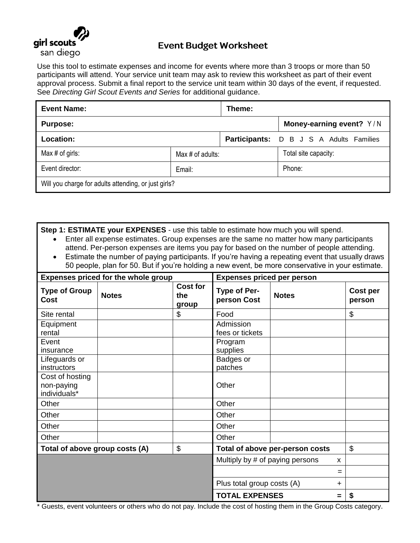

## **Event Budget Worksheet**

Use this tool to estimate expenses and income for events where more than 3 troops or more than 50 participants will attend. Your service unit team may ask to review this worksheet as part of their event approval process. Submit a final report to the service unit team within 30 days of the event, if requested. See *Directing Girl Scout Events and Series* for additional guidance.

| <b>Event Name:</b>                                   |                     | Theme: |                                                |  |
|------------------------------------------------------|---------------------|--------|------------------------------------------------|--|
| <b>Purpose:</b>                                      |                     |        | Money-earning event? Y/N                       |  |
| Location:                                            |                     |        | <b>Participants:</b> D B J S A Adults Families |  |
| Max $#$ of girls:                                    | Max $\#$ of adults: |        | Total site capacity:                           |  |
| Event director:                                      | Email:              |        | Phone:                                         |  |
| Will you charge for adults attending, or just girls? |                     |        |                                                |  |

**Step 1: ESTIMATE your EXPENSES** - use this table to estimate how much you will spend.

- Enter all expense estimates. Group expenses are the same no matter how many participants attend. Per-person expenses are items you pay for based on the number of people attending.
- Estimate the number of paying participants. If you're having a repeating event that usually draws 50 people, plan for 50. But if you're holding a new event, be more conservative in your estimate.

| <b>Expenses priced for the whole group</b>    |              | <b>Expenses priced per person</b> |                                 |              |                    |
|-----------------------------------------------|--------------|-----------------------------------|---------------------------------|--------------|--------------------|
| <b>Type of Group</b><br>Cost                  | <b>Notes</b> | <b>Cost for</b><br>the<br>group   | Type of Per-<br>person Cost     | <b>Notes</b> | Cost per<br>person |
| Site rental                                   |              | \$                                | Food                            |              | \$                 |
| Equipment<br>rental                           |              |                                   | Admission<br>fees or tickets    |              |                    |
| Event<br>insurance                            |              |                                   | Program<br>supplies             |              |                    |
| Lifeguards or<br>instructors                  |              |                                   | Badges or<br>patches            |              |                    |
| Cost of hosting<br>non-paying<br>individuals* |              |                                   | Other                           |              |                    |
| Other                                         |              |                                   | Other                           |              |                    |
| Other                                         |              |                                   | Other                           |              |                    |
| Other                                         |              |                                   | Other                           |              |                    |
| Other                                         |              |                                   | Other                           |              |                    |
| Total of above group costs (A)                |              | \$                                | Total of above per-person costs |              | \$                 |
|                                               |              |                                   | Multiply by # of paying persons |              | X                  |
|                                               |              |                                   |                                 |              | =                  |
|                                               |              |                                   | Plus total group costs (A)      | $\ddot{}$    |                    |
|                                               |              |                                   | <b>TOTAL EXPENSES</b>           | $=$          | \$                 |

\* Guests, event volunteers or others who do not pay. Include the cost of hosting them in the Group Costs category.